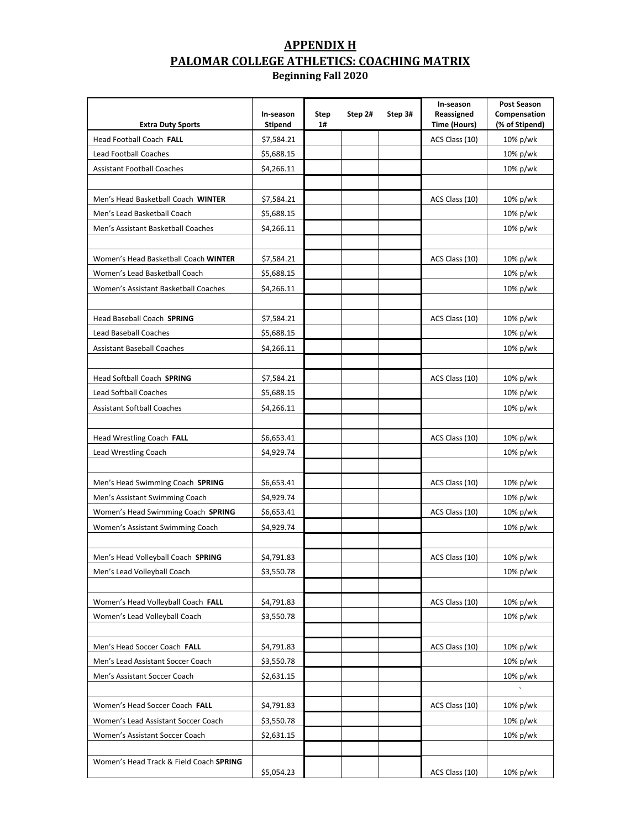# **APPENDIX H PALOMAR COLLEGE ATHLETICS: COACHING MATRIX**

**Beginning Fall 2020**

| <b>Extra Duty Sports</b>                | In-season<br>Stipend | Step<br>1# | Step 2# | Step 3# | In-season<br>Reassigned<br>Time (Hours) | <b>Post Season</b><br>Compensation<br>(% of Stipend) |
|-----------------------------------------|----------------------|------------|---------|---------|-----------------------------------------|------------------------------------------------------|
| Head Football Coach FALL                | \$7,584.21           |            |         |         | ACS Class (10)                          | 10% p/wk                                             |
| Lead Football Coaches                   | \$5,688.15           |            |         |         |                                         | 10% p/wk                                             |
| <b>Assistant Football Coaches</b>       | \$4,266.11           |            |         |         |                                         | 10% p/wk                                             |
|                                         |                      |            |         |         |                                         |                                                      |
| Men's Head Basketball Coach WINTER      | \$7,584.21           |            |         |         | ACS Class (10)                          | 10% p/wk                                             |
| Men's Lead Basketball Coach             | \$5,688.15           |            |         |         |                                         | 10% p/wk                                             |
| Men's Assistant Basketball Coaches      | \$4,266.11           |            |         |         |                                         | 10% p/wk                                             |
|                                         |                      |            |         |         |                                         |                                                      |
| Women's Head Basketball Coach WINTER    | \$7,584.21           |            |         |         | ACS Class (10)                          | 10% p/wk                                             |
| Women's Lead Basketball Coach           | \$5,688.15           |            |         |         |                                         | 10% p/wk                                             |
| Women's Assistant Basketball Coaches    | \$4,266.11           |            |         |         |                                         | 10% p/wk                                             |
|                                         |                      |            |         |         |                                         |                                                      |
| Head Baseball Coach SPRING              | \$7,584.21           |            |         |         | ACS Class (10)                          | 10% p/wk                                             |
| <b>Lead Baseball Coaches</b>            | \$5,688.15           |            |         |         |                                         | 10% p/wk                                             |
| <b>Assistant Baseball Coaches</b>       | \$4,266.11           |            |         |         |                                         | 10% p/wk                                             |
|                                         |                      |            |         |         |                                         |                                                      |
| Head Softball Coach SPRING              | \$7,584.21           |            |         |         | ACS Class (10)                          | 10% p/wk                                             |
| <b>Lead Softball Coaches</b>            | \$5,688.15           |            |         |         |                                         | 10% p/wk                                             |
| <b>Assistant Softball Coaches</b>       | \$4,266.11           |            |         |         |                                         | 10% p/wk                                             |
|                                         |                      |            |         |         |                                         |                                                      |
| Head Wrestling Coach FALL               | \$6,653.41           |            |         |         | ACS Class (10)                          | 10% p/wk                                             |
| Lead Wrestling Coach                    | \$4,929.74           |            |         |         |                                         | 10% p/wk                                             |
|                                         |                      |            |         |         |                                         |                                                      |
| Men's Head Swimming Coach SPRING        | \$6,653.41           |            |         |         | ACS Class (10)                          | $10\%$ p/wk                                          |
| Men's Assistant Swimming Coach          | \$4,929.74           |            |         |         |                                         | 10% p/wk                                             |
| Women's Head Swimming Coach SPRING      | \$6,653.41           |            |         |         | ACS Class (10)                          | 10% p/wk                                             |
| Women's Assistant Swimming Coach        | \$4,929.74           |            |         |         |                                         | 10% p/wk                                             |
|                                         |                      |            |         |         |                                         |                                                      |
| Men's Head Volleyball Coach SPRING      | \$4,791.83           |            |         |         | ACS Class (10)                          | 10% p/wk                                             |
| Men's Lead Volleyball Coach             | \$3,550.78           |            |         |         |                                         | 10% p/wk                                             |
|                                         |                      |            |         |         |                                         |                                                      |
| Women's Head Volleyball Coach FALL      | \$4,791.83           |            |         |         | ACS Class (10)                          | 10% p/wk                                             |
| Women's Lead Volleyball Coach           | \$3,550.78           |            |         |         |                                         | 10% p/wk                                             |
|                                         |                      |            |         |         |                                         |                                                      |
| Men's Head Soccer Coach FALL            | \$4,791.83           |            |         |         | ACS Class (10)                          | 10% p/wk                                             |
| Men's Lead Assistant Soccer Coach       | \$3,550.78           |            |         |         |                                         | 10% p/wk                                             |
| Men's Assistant Soccer Coach            | \$2,631.15           |            |         |         |                                         | 10% p/wk                                             |
|                                         |                      |            |         |         |                                         |                                                      |
| Women's Head Soccer Coach FALL          | \$4,791.83           |            |         |         | ACS Class (10)                          | $10\%$ p/wk                                          |
| Women's Lead Assistant Soccer Coach     | \$3,550.78           |            |         |         |                                         | 10% p/wk                                             |
| Women's Assistant Soccer Coach          | \$2,631.15           |            |         |         |                                         | 10% p/wk                                             |
|                                         |                      |            |         |         |                                         |                                                      |
| Women's Head Track & Field Coach SPRING | \$5,054.23           |            |         |         | ACS Class (10)                          | 10% p/wk                                             |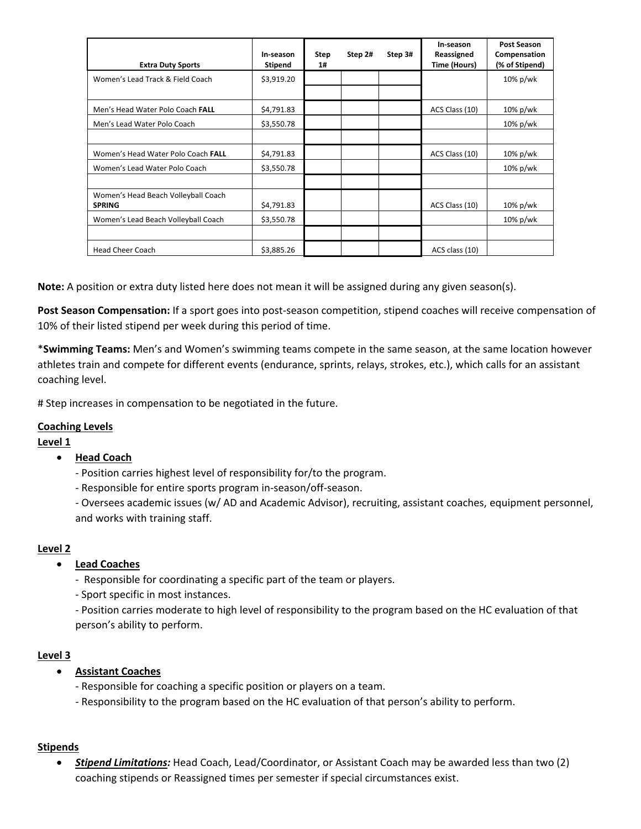| <b>Extra Duty Sports</b>                             | In-season<br><b>Stipend</b> | Step<br>1# | Step 2# | Step 3# | In-season<br>Reassigned<br>Time (Hours) | Post Season<br>Compensation<br>(% of Stipend) |
|------------------------------------------------------|-----------------------------|------------|---------|---------|-----------------------------------------|-----------------------------------------------|
| Women's Lead Track & Field Coach                     | \$3,919.20                  |            |         |         |                                         | 10% p/wk                                      |
|                                                      |                             |            |         |         |                                         |                                               |
| Men's Head Water Polo Coach FALL                     | \$4,791.83                  |            |         |         | ACS Class (10)                          | 10% p/wk                                      |
| Men's Lead Water Polo Coach                          | \$3,550.78                  |            |         |         |                                         | 10% p/wk                                      |
|                                                      |                             |            |         |         |                                         |                                               |
| Women's Head Water Polo Coach FALL                   | \$4,791.83                  |            |         |         | ACS Class (10)                          | 10% p/wk                                      |
| Women's Lead Water Polo Coach                        | \$3,550.78                  |            |         |         |                                         | 10% p/wk                                      |
|                                                      |                             |            |         |         |                                         |                                               |
| Women's Head Beach Volleyball Coach<br><b>SPRING</b> | \$4,791.83                  |            |         |         | ACS Class (10)                          | 10% p/wk                                      |
| Women's Lead Beach Volleyball Coach                  | \$3,550.78                  |            |         |         |                                         | 10% p/wk                                      |
|                                                      |                             |            |         |         |                                         |                                               |
| <b>Head Cheer Coach</b>                              | \$3,885.26                  |            |         |         | ACS class (10)                          |                                               |

**Note:** A position or extra duty listed here does not mean it will be assigned during any given season(s).

**Post Season Compensation:** If a sport goes into post‐season competition, stipend coaches will receive compensation of 10% of their listed stipend per week during this period of time.

\***Swimming Teams:** Men's and Women's swimming teams compete in the same season, at the same location however athletes train and compete for different events (endurance, sprints, relays, strokes, etc.), which calls for an assistant coaching level.

# Step increases in compensation to be negotiated in the future.

## **Coaching Levels**

## **Level 1**

## **Head Coach**

- ‐ Position carries highest level of responsibility for/to the program.
- ‐ Responsible for entire sports program in‐season/off‐season.

 ‐ Oversees academic issues (w/ AD and Academic Advisor), recruiting, assistant coaches, equipment personnel, and works with training staff.

## **Level 2**

## **Lead Coaches**

- ‐ Responsible for coordinating a specific part of the team or players.
- ‐ Sport specific in most instances.

 ‐ Position carries moderate to high level of responsibility to the program based on the HC evaluation of that person's ability to perform.

### **Level 3**

## **Assistant Coaches**

- ‐ Responsible for coaching a specific position or players on a team.
- ‐ Responsibility to the program based on the HC evaluation of that person's ability to perform.

## **Stipends**

 *Stipend Limitations:* Head Coach, Lead/Coordinator, or Assistant Coach may be awarded less than two (2) coaching stipends or Reassigned times per semester if special circumstances exist.